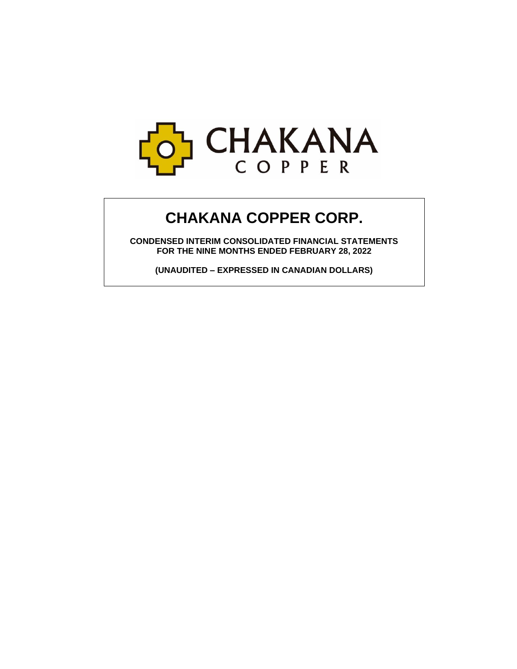

# **CHAKANA COPPER CORP.**

**CONDENSED INTERIM CONSOLIDATED FINANCIAL STATEMENTS FOR THE NINE MONTHS ENDED FEBRUARY 28, 2022**

**(UNAUDITED – EXPRESSED IN CANADIAN DOLLARS)**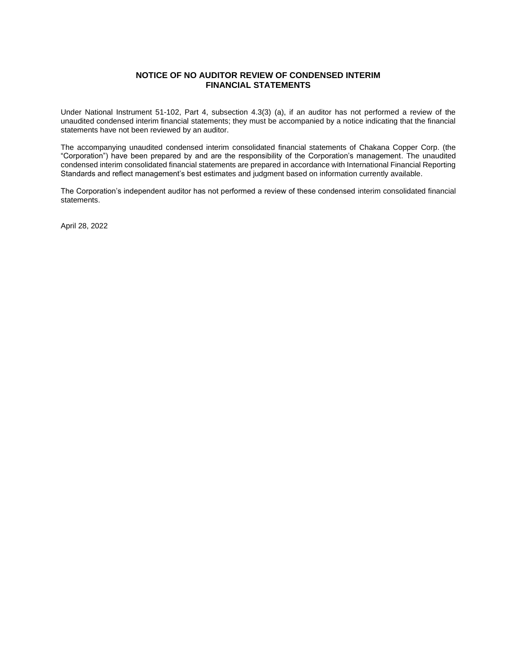# **NOTICE OF NO AUDITOR REVIEW OF CONDENSED INTERIM FINANCIAL STATEMENTS**

Under National Instrument 51-102, Part 4, subsection 4.3(3) (a), if an auditor has not performed a review of the unaudited condensed interim financial statements; they must be accompanied by a notice indicating that the financial statements have not been reviewed by an auditor.

The accompanying unaudited condensed interim consolidated financial statements of Chakana Copper Corp. (the "Corporation") have been prepared by and are the responsibility of the Corporation's management. The unaudited condensed interim consolidated financial statements are prepared in accordance with International Financial Reporting Standards and reflect management's best estimates and judgment based on information currently available.

The Corporation's independent auditor has not performed a review of these condensed interim consolidated financial statements.

April 28, 2022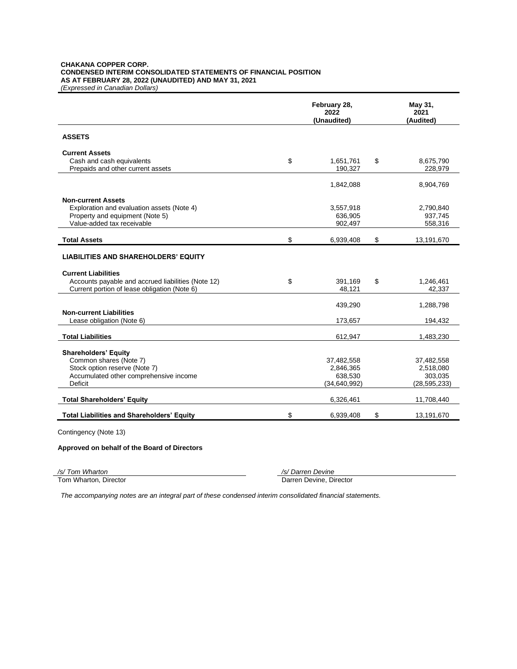#### **CHAKANA COPPER CORP. CONDENSED INTERIM CONSOLIDATED STATEMENTS OF FINANCIAL POSITION AS AT FEBRUARY 28, 2022 (UNAUDITED) AND MAY 31, 2021** *(Expressed in Canadian Dollars)*

|                                                                                                    | February 28,<br>2022<br>(Unaudited) | May 31,<br>2021<br>(Audited) |
|----------------------------------------------------------------------------------------------------|-------------------------------------|------------------------------|
| <b>ASSETS</b>                                                                                      |                                     |                              |
| <b>Current Assets</b>                                                                              |                                     |                              |
| Cash and cash equivalents<br>Prepaids and other current assets                                     | \$<br>1,651,761<br>190,327          | \$<br>8,675,790<br>228,979   |
|                                                                                                    | 1,842,088                           | 8,904,769                    |
| <b>Non-current Assets</b>                                                                          |                                     |                              |
| Exploration and evaluation assets (Note 4)<br>Property and equipment (Note 5)                      | 3,557,918<br>636,905                | 2,790,840<br>937,745         |
| Value-added tax receivable                                                                         | 902,497                             | 558,316                      |
| <b>Total Assets</b>                                                                                | \$<br>6,939,408                     | \$<br>13,191,670             |
| <b>LIABILITIES AND SHAREHOLDERS' EQUITY</b>                                                        |                                     |                              |
| <b>Current Liabilities</b>                                                                         |                                     |                              |
| Accounts payable and accrued liabilities (Note 12)<br>Current portion of lease obligation (Note 6) | \$<br>391,169<br>48,121             | \$<br>1,246,461<br>42.337    |
|                                                                                                    | 439,290                             | 1,288,798                    |
| <b>Non-current Liabilities</b>                                                                     |                                     |                              |
| Lease obligation (Note 6)                                                                          | 173,657                             | 194,432                      |
| <b>Total Liabilities</b>                                                                           | 612,947                             | 1,483,230                    |
| <b>Shareholders' Equity</b>                                                                        |                                     |                              |
| Common shares (Note 7)                                                                             | 37,482,558                          | 37,482,558                   |
| Stock option reserve (Note 7)                                                                      | 2,846,365                           | 2,518,080                    |
| Accumulated other comprehensive income<br>Deficit                                                  | 638,530                             | 303,035                      |
|                                                                                                    | (34, 640, 992)                      | (28, 595, 233)               |
| <b>Total Shareholders' Equity</b>                                                                  | 6,326,461                           | 11,708,440                   |
| <b>Total Liabilities and Shareholders' Equity</b>                                                  | \$<br>6,939,408                     | \$<br>13,191,670             |

Contingency (Note 13)

# **Approved on behalf of the Board of Directors**

*/s/ Tom Wharton /s/ Darren Devine*

Darren Devine, Director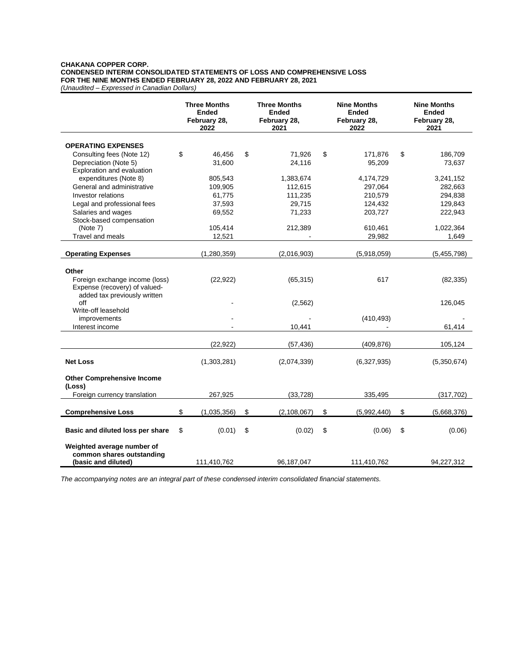# **CHAKANA COPPER CORP. CONDENSED INTERIM CONSOLIDATED STATEMENTS OF LOSS AND COMPREHENSIVE LOSS FOR THE NINE MONTHS ENDED FEBRUARY 28, 2022 AND FEBRUARY 28, 2021**

*(Unaudited – Expressed in Canadian Dollars)*

|                                                    | <b>Three Months</b><br><b>Ended</b><br>February 28,<br>2022 | <b>Three Months</b><br><b>Ended</b><br>February 28,<br>2021 | <b>Nine Months</b><br><b>Ended</b><br>February 28,<br>2022 |             | <b>Nine Months</b><br><b>Ended</b><br>February 28,<br>2021 |
|----------------------------------------------------|-------------------------------------------------------------|-------------------------------------------------------------|------------------------------------------------------------|-------------|------------------------------------------------------------|
|                                                    |                                                             |                                                             |                                                            |             |                                                            |
| <b>OPERATING EXPENSES</b>                          | \$<br>46,456                                                | \$<br>71,926                                                | \$                                                         | 171,876     | \$<br>186,709                                              |
| Consulting fees (Note 12)<br>Depreciation (Note 5) | 31,600                                                      | 24,116                                                      |                                                            | 95,209      | 73,637                                                     |
| Exploration and evaluation                         |                                                             |                                                             |                                                            |             |                                                            |
| expenditures (Note 8)                              | 805,543                                                     | 1,383,674                                                   |                                                            | 4,174,729   | 3,241,152                                                  |
| General and administrative                         | 109,905                                                     | 112,615                                                     |                                                            | 297,064     | 282,663                                                    |
| <b>Investor relations</b>                          | 61,775                                                      | 111,235                                                     |                                                            | 210,579     | 294,838                                                    |
| Legal and professional fees                        | 37,593                                                      | 29,715                                                      |                                                            | 124,432     | 129,843                                                    |
| Salaries and wages                                 | 69,552                                                      | 71,233                                                      |                                                            | 203,727     | 222,943                                                    |
| Stock-based compensation                           |                                                             |                                                             |                                                            |             |                                                            |
| (Note 7)                                           | 105,414                                                     | 212,389                                                     |                                                            | 610,461     | 1,022,364                                                  |
| Travel and meals                                   | 12,521                                                      | $\blacksquare$                                              |                                                            | 29,982      | 1,649                                                      |
|                                                    |                                                             |                                                             |                                                            |             |                                                            |
| <b>Operating Expenses</b>                          | (1,280,359)                                                 | (2,016,903)                                                 |                                                            | (5,918,059) | (5,455,798)                                                |
|                                                    |                                                             |                                                             |                                                            |             |                                                            |
| Other                                              |                                                             |                                                             |                                                            |             |                                                            |
| Foreign exchange income (loss)                     | (22, 922)                                                   | (65, 315)                                                   |                                                            | 617         | (82, 335)                                                  |
| Expense (recovery) of valued-                      |                                                             |                                                             |                                                            |             |                                                            |
| added tax previously written<br>off                |                                                             | (2, 562)                                                    |                                                            |             | 126,045                                                    |
| Write-off leasehold                                |                                                             |                                                             |                                                            |             |                                                            |
| improvements                                       |                                                             |                                                             |                                                            | (410, 493)  |                                                            |
| Interest income                                    |                                                             | 10,441                                                      |                                                            |             | 61,414                                                     |
|                                                    |                                                             |                                                             |                                                            |             |                                                            |
|                                                    | (22, 922)                                                   | (57, 436)                                                   |                                                            | (409, 876)  | 105,124                                                    |
|                                                    |                                                             |                                                             |                                                            |             |                                                            |
| <b>Net Loss</b>                                    | (1,303,281)                                                 | (2,074,339)                                                 |                                                            | (6,327,935) | (5,350,674)                                                |
|                                                    |                                                             |                                                             |                                                            |             |                                                            |
| <b>Other Comprehensive Income</b><br>(Loss)        |                                                             |                                                             |                                                            |             |                                                            |
| Foreign currency translation                       | 267,925                                                     | (33, 728)                                                   |                                                            | 335,495     | (317, 702)                                                 |
|                                                    |                                                             |                                                             |                                                            |             |                                                            |
| <b>Comprehensive Loss</b>                          | \$<br>(1,035,356)                                           | \$<br>(2, 108, 067)                                         | \$                                                         | (5,992,440) | \$<br>(5,668,376)                                          |
| Basic and diluted loss per share                   | \$<br>(0.01)                                                | \$<br>(0.02)                                                | \$                                                         | (0.06)      | \$<br>(0.06)                                               |
|                                                    |                                                             |                                                             |                                                            |             |                                                            |
| Weighted average number of                         |                                                             |                                                             |                                                            |             |                                                            |
| common shares outstanding                          |                                                             |                                                             |                                                            |             |                                                            |
| (basic and diluted)                                | 111,410,762                                                 | 96,187,047                                                  |                                                            | 111,410,762 | 94,227,312                                                 |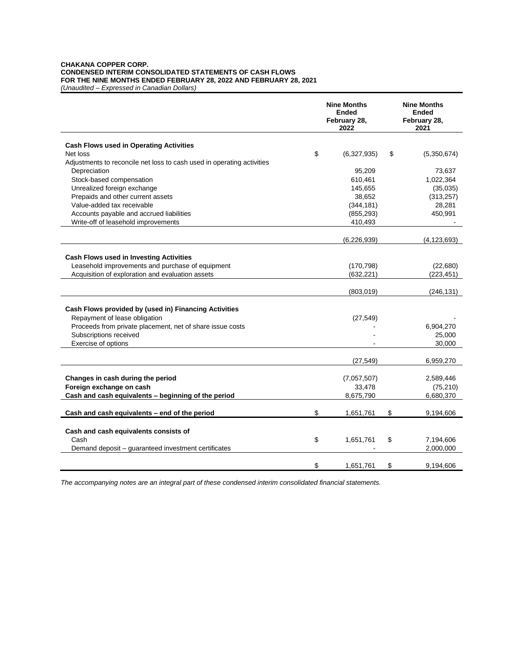#### **CHAKANA COPPER CORP. CONDENSED INTERIM CONSOLIDATED STATEMENTS OF CASH FLOWS FOR THE NINE MONTHS ENDED FEBRUARY 28, 2022 AND FEBRUARY 28, 2021** *(Unaudited – Expressed in Canadian Dollars)*

|                                                                        | <b>Nine Months</b><br><b>Ended</b><br>February 28,<br>2022 | <b>Nine Months</b><br><b>Ended</b><br>February 28,<br>2021 |
|------------------------------------------------------------------------|------------------------------------------------------------|------------------------------------------------------------|
| <b>Cash Flows used in Operating Activities</b>                         |                                                            |                                                            |
| Net loss                                                               | \$<br>(6,327,935)                                          | \$<br>(5,350,674)                                          |
| Adjustments to reconcile net loss to cash used in operating activities |                                                            |                                                            |
| Depreciation                                                           | 95,209                                                     | 73,637                                                     |
| Stock-based compensation                                               | 610,461                                                    | 1,022,364                                                  |
| Unrealized foreign exchange                                            | 145.655                                                    | (35,035)                                                   |
| Prepaids and other current assets                                      | 38,652                                                     | (313, 257)                                                 |
| Value-added tax receivable                                             | (344, 181)                                                 | 28,281                                                     |
| Accounts payable and accrued liabilities                               | (855, 293)                                                 | 450,991                                                    |
| Write-off of leasehold improvements                                    | 410,493                                                    |                                                            |
|                                                                        | (6, 226, 939)                                              | (4, 123, 693)                                              |
|                                                                        |                                                            |                                                            |
| <b>Cash Flows used in Investing Activities</b>                         |                                                            |                                                            |
| Leasehold improvements and purchase of equipment                       | (170, 798)                                                 | (22, 680)                                                  |
| Acquisition of exploration and evaluation assets                       | (632, 221)                                                 | (223, 451)                                                 |
|                                                                        |                                                            |                                                            |
|                                                                        | (803,019)                                                  | (246, 131)                                                 |
|                                                                        |                                                            |                                                            |
| Cash Flows provided by (used in) Financing Activities                  |                                                            |                                                            |
| Repayment of lease obligation                                          | (27, 549)                                                  |                                                            |
| Proceeds from private placement, net of share issue costs              |                                                            | 6,904,270                                                  |
| Subscriptions received                                                 |                                                            | 25,000                                                     |
| Exercise of options                                                    |                                                            | 30,000                                                     |
|                                                                        | (27, 549)                                                  | 6,959,270                                                  |
|                                                                        |                                                            |                                                            |
| Changes in cash during the period                                      | (7,057,507)                                                | 2,589,446                                                  |
| Foreign exchange on cash                                               | 33,478                                                     | (75, 210)                                                  |
| Cash and cash equivalents - beginning of the period                    | 8,675,790                                                  | 6,680,370                                                  |
| Cash and cash equivalents - end of the period                          | \$<br>1,651,761                                            | \$<br>9,194,606                                            |
|                                                                        |                                                            |                                                            |
| Cash and cash equivalents consists of                                  |                                                            |                                                            |
| Cash                                                                   | \$<br>1,651,761                                            | \$<br>7,194,606                                            |
| Demand deposit – guaranteed investment certificates                    |                                                            | 2,000,000                                                  |
|                                                                        |                                                            |                                                            |
|                                                                        | \$<br>1,651,761                                            | \$<br>9,194,606                                            |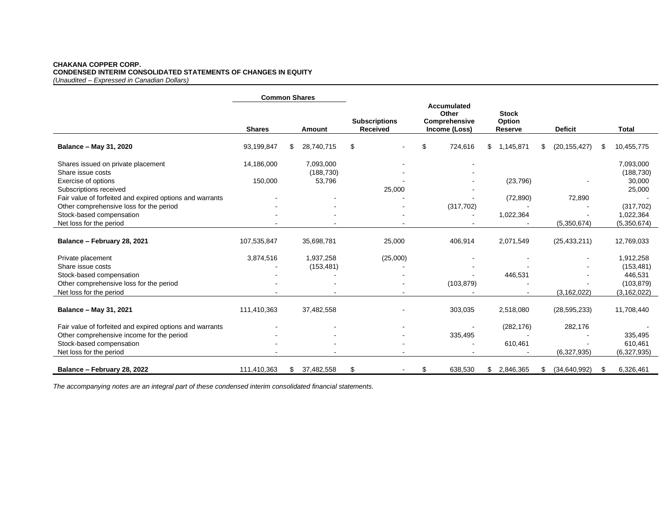### **CHAKANA COPPER CORP. CONDENSED INTERIM CONSOLIDATED STATEMENTS OF CHANGES IN EQUITY** *(Unaudited – Expressed in Canadian Dollars)*

|                                                                                    | <b>Common Shares</b> |    |                      |                                         |    |                                                        |    |                                   |                      |      |                         |
|------------------------------------------------------------------------------------|----------------------|----|----------------------|-----------------------------------------|----|--------------------------------------------------------|----|-----------------------------------|----------------------|------|-------------------------|
|                                                                                    | <b>Shares</b>        |    | Amount               | <b>Subscriptions</b><br><b>Received</b> |    | Accumulated<br>Other<br>Comprehensive<br>Income (Loss) |    | <b>Stock</b><br>Option<br>Reserve | <b>Deficit</b>       |      | Total                   |
| Balance - May 31, 2020                                                             | 93,199,847           | \$ | 28,740,715           | \$<br>$\blacksquare$                    | \$ | 724,616                                                | \$ | 1,145,871                         | \$<br>(20, 155, 427) | S    | 10,455,775              |
| Shares issued on private placement                                                 | 14,186,000           |    | 7,093,000            |                                         |    |                                                        |    |                                   |                      |      | 7,093,000               |
| Share issue costs<br>Exercise of options                                           | 150,000              |    | (188, 730)<br>53,796 |                                         |    |                                                        |    | (23, 796)                         |                      |      | (188, 730)<br>30,000    |
| Subscriptions received<br>Fair value of forfeited and expired options and warrants |                      |    |                      | 25,000                                  |    |                                                        |    | (72, 890)                         | 72,890               |      | 25,000                  |
| Other comprehensive loss for the period<br>Stock-based compensation                |                      |    |                      |                                         |    | (317, 702)                                             |    | 1,022,364                         |                      |      | (317, 702)<br>1,022,364 |
| Net loss for the period                                                            |                      |    |                      |                                         |    |                                                        |    |                                   | (5,350,674)          |      | (5,350,674)             |
| Balance - February 28, 2021                                                        | 107,535,847          |    | 35,698,781           | 25,000                                  |    | 406,914                                                |    | 2,071,549                         | (25, 433, 211)       |      | 12,769,033              |
| Private placement                                                                  | 3,874,516            |    | 1,937,258            | (25,000)                                |    |                                                        |    |                                   |                      |      | 1,912,258               |
| Share issue costs<br>Stock-based compensation                                      |                      |    | (153, 481)           |                                         |    |                                                        |    | 446,531                           |                      |      | (153, 481)<br>446,531   |
| Other comprehensive loss for the period                                            |                      |    |                      |                                         |    | (103, 879)                                             |    |                                   |                      |      | (103, 879)              |
| Net loss for the period                                                            |                      |    |                      |                                         |    |                                                        |    |                                   | (3, 162, 022)        |      | (3, 162, 022)           |
| Balance - May 31, 2021                                                             | 111,410,363          |    | 37,482,558           |                                         |    | 303,035                                                |    | 2,518,080                         | (28, 595, 233)       |      | 11,708,440              |
| Fair value of forfeited and expired options and warrants                           |                      |    |                      |                                         |    |                                                        |    | (282, 176)                        | 282,176              |      |                         |
| Other comprehensive income for the period                                          |                      |    |                      |                                         |    | 335,495                                                |    |                                   |                      |      | 335,495                 |
| Stock-based compensation<br>Net loss for the period                                |                      |    |                      |                                         |    |                                                        |    | 610,461                           | (6,327,935)          |      | 610,461<br>(6,327,935)  |
| Balance - February 28, 2022                                                        | 111,410,363          | \$ | 37,482,558           | \$                                      | \$ | 638,530                                                |    | \$2,846,365                       | \$<br>(34,640,992)   | - \$ | 6,326,461               |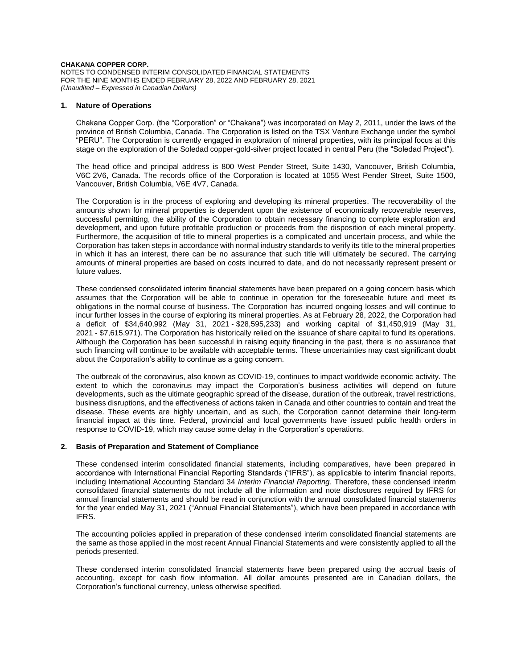### **1. Nature of Operations**

Chakana Copper Corp. (the "Corporation" or "Chakana") was incorporated on May 2, 2011, under the laws of the province of British Columbia, Canada. The Corporation is listed on the TSX Venture Exchange under the symbol "PERU". The Corporation is currently engaged in exploration of mineral properties, with its principal focus at this stage on the exploration of the Soledad copper-gold-silver project located in central Peru (the "Soledad Project").

The head office and principal address is 800 West Pender Street, Suite 1430, Vancouver, British Columbia, V6C 2V6, Canada. The records office of the Corporation is located at 1055 West Pender Street, Suite 1500, Vancouver, British Columbia, V6E 4V7, Canada.

The Corporation is in the process of exploring and developing its mineral properties. The recoverability of the amounts shown for mineral properties is dependent upon the existence of economically recoverable reserves, successful permitting, the ability of the Corporation to obtain necessary financing to complete exploration and development, and upon future profitable production or proceeds from the disposition of each mineral property. Furthermore, the acquisition of title to mineral properties is a complicated and uncertain process, and while the Corporation has taken steps in accordance with normal industry standards to verify its title to the mineral properties in which it has an interest, there can be no assurance that such title will ultimately be secured. The carrying amounts of mineral properties are based on costs incurred to date, and do not necessarily represent present or future values.

These condensed consolidated interim financial statements have been prepared on a going concern basis which assumes that the Corporation will be able to continue in operation for the foreseeable future and meet its obligations in the normal course of business. The Corporation has incurred ongoing losses and will continue to incur further losses in the course of exploring its mineral properties. As at February 28, 2022, the Corporation had a deficit of \$34,640,992 (May 31, 2021 ‐ \$28,595,233) and working capital of \$1,450,919 (May 31, 2021 ‐ \$7,615,971). The Corporation has historically relied on the issuance of share capital to fund its operations. Although the Corporation has been successful in raising equity financing in the past, there is no assurance that such financing will continue to be available with acceptable terms. These uncertainties may cast significant doubt about the Corporation's ability to continue as a going concern.

The outbreak of the coronavirus, also known as COVID-19, continues to impact worldwide economic activity. The extent to which the coronavirus may impact the Corporation's business activities will depend on future developments, such as the ultimate geographic spread of the disease, duration of the outbreak, travel restrictions, business disruptions, and the effectiveness of actions taken in Canada and other countries to contain and treat the disease. These events are highly uncertain, and as such, the Corporation cannot determine their long-term financial impact at this time. Federal, provincial and local governments have issued public health orders in response to COVID-19, which may cause some delay in the Corporation's operations.

### **2. Basis of Preparation and Statement of Compliance**

These condensed interim consolidated financial statements, including comparatives, have been prepared in accordance with International Financial Reporting Standards ("IFRS"), as applicable to interim financial reports, including International Accounting Standard 34 *Interim Financial Reporting*. Therefore, these condensed interim consolidated financial statements do not include all the information and note disclosures required by IFRS for annual financial statements and should be read in conjunction with the annual consolidated financial statements for the year ended May 31, 2021 ("Annual Financial Statements"), which have been prepared in accordance with IFRS.

The accounting policies applied in preparation of these condensed interim consolidated financial statements are the same as those applied in the most recent Annual Financial Statements and were consistently applied to all the periods presented.

These condensed interim consolidated financial statements have been prepared using the accrual basis of accounting, except for cash flow information. All dollar amounts presented are in Canadian dollars, the Corporation's functional currency, unless otherwise specified.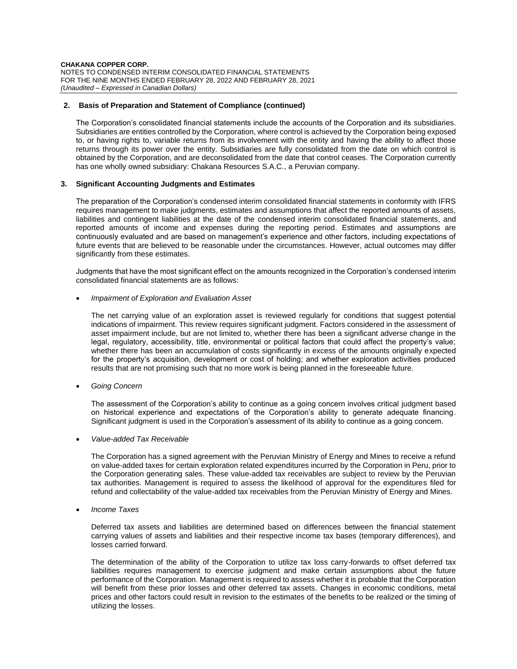### **2. Basis of Preparation and Statement of Compliance (continued)**

The Corporation's consolidated financial statements include the accounts of the Corporation and its subsidiaries. Subsidiaries are entities controlled by the Corporation, where control is achieved by the Corporation being exposed to, or having rights to, variable returns from its involvement with the entity and having the ability to affect those returns through its power over the entity. Subsidiaries are fully consolidated from the date on which control is obtained by the Corporation, and are deconsolidated from the date that control ceases. The Corporation currently has one wholly owned subsidiary: Chakana Resources S.A.C., a Peruvian company.

### **3. Significant Accounting Judgments and Estimates**

The preparation of the Corporation's condensed interim consolidated financial statements in conformity with IFRS requires management to make judgments, estimates and assumptions that affect the reported amounts of assets, liabilities and contingent liabilities at the date of the condensed interim consolidated financial statements, and reported amounts of income and expenses during the reporting period. Estimates and assumptions are continuously evaluated and are based on management's experience and other factors, including expectations of future events that are believed to be reasonable under the circumstances. However, actual outcomes may differ significantly from these estimates.

Judgments that have the most significant effect on the amounts recognized in the Corporation's condensed interim consolidated financial statements are as follows:

# • *Impairment of Exploration and Evaluation Asset*

The net carrying value of an exploration asset is reviewed regularly for conditions that suggest potential indications of impairment. This review requires significant judgment. Factors considered in the assessment of asset impairment include, but are not limited to, whether there has been a significant adverse change in the legal, regulatory, accessibility, title, environmental or political factors that could affect the property's value; whether there has been an accumulation of costs significantly in excess of the amounts originally expected for the property's acquisition, development or cost of holding; and whether exploration activities produced results that are not promising such that no more work is being planned in the foreseeable future.

• *Going Concern*

The assessment of the Corporation's ability to continue as a going concern involves critical judgment based on historical experience and expectations of the Corporation's ability to generate adequate financing. Significant judgment is used in the Corporation's assessment of its ability to continue as a going concern.

• *Value-added Tax Receivable*

The Corporation has a signed agreement with the Peruvian Ministry of Energy and Mines to receive a refund on value-added taxes for certain exploration related expenditures incurred by the Corporation in Peru, prior to the Corporation generating sales. These value-added tax receivables are subject to review by the Peruvian tax authorities. Management is required to assess the likelihood of approval for the expenditures filed for refund and collectability of the value-added tax receivables from the Peruvian Ministry of Energy and Mines.

• *Income Taxes*

Deferred tax assets and liabilities are determined based on differences between the financial statement carrying values of assets and liabilities and their respective income tax bases (temporary differences), and losses carried forward.

The determination of the ability of the Corporation to utilize tax loss carry-forwards to offset deferred tax liabilities requires management to exercise judgment and make certain assumptions about the future performance of the Corporation. Management is required to assess whether it is probable that the Corporation will benefit from these prior losses and other deferred tax assets. Changes in economic conditions, metal prices and other factors could result in revision to the estimates of the benefits to be realized or the timing of utilizing the losses.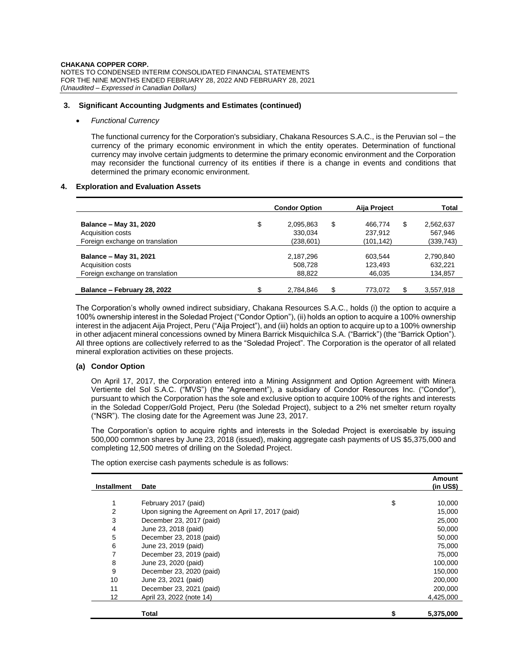### **3. Significant Accounting Judgments and Estimates (continued)**

### • *Functional Currency*

The functional currency for the Corporation's subsidiary, Chakana Resources S.A.C., is the Peruvian sol – the currency of the primary economic environment in which the entity operates. Determination of functional currency may involve certain judgments to determine the primary economic environment and the Corporation may reconsider the functional currency of its entities if there is a change in events and conditions that determined the primary economic environment.

### **4. Exploration and Evaluation Assets**

|                                 | <b>Condor Option</b> |            |    | Aija Project | <b>Total</b> |           |
|---------------------------------|----------------------|------------|----|--------------|--------------|-----------|
| Balance - May 31, 2020          | \$                   | 2,095,863  | \$ | 466.774      | \$           | 2,562,637 |
| Acquisition costs               |                      | 330.034    |    | 237.912      |              | 567.946   |
| Foreign exchange on translation |                      | (238, 601) |    | (101, 142)   |              | (339,743) |
| Balance - May 31, 2021          |                      | 2,187,296  |    | 603.544      |              | 2,790,840 |
| Acquisition costs               |                      | 508.728    |    | 123,493      |              | 632.221   |
| Foreign exchange on translation |                      | 88.822     |    | 46.035       |              | 134,857   |
| Balance - February 28, 2022     |                      | 2.784.846  | \$ | 773.072      | \$           | 3,557,918 |

The Corporation's wholly owned indirect subsidiary, Chakana Resources S.A.C., holds (i) the option to acquire a 100% ownership interest in the Soledad Project ("Condor Option"), (ii) holds an option to acquire a 100% ownership interest in the adjacent Aija Project, Peru ("Aija Project"), and (iii) holds an option to acquire up to a 100% ownership in other adjacent mineral concessions owned by Minera Barrick Misquichilca S.A. ("Barrick") (the "Barrick Option"). All three options are collectively referred to as the "Soledad Project". The Corporation is the operator of all related mineral exploration activities on these projects.

# **(a) Condor Option**

On April 17, 2017, the Corporation entered into a Mining Assignment and Option Agreement with Minera Vertiente del Sol S.A.C. ("MVS") (the "Agreement"), a subsidiary of Condor Resources Inc. ("Condor"), pursuant to which the Corporation has the sole and exclusive option to acquire 100% of the rights and interests in the Soledad Copper/Gold Project, Peru (the Soledad Project), subject to a 2% net smelter return royalty ("NSR"). The closing date for the Agreement was June 23, 2017.

The Corporation's option to acquire rights and interests in the Soledad Project is exercisable by issuing 500,000 common shares by June 23, 2018 (issued), making aggregate cash payments of US \$5,375,000 and completing 12,500 metres of drilling on the Soledad Project.

| <b>Installment</b> | Date                                                |    | Amount<br>(in US\$) |
|--------------------|-----------------------------------------------------|----|---------------------|
|                    |                                                     |    |                     |
| 1                  | February 2017 (paid)                                | \$ | 10,000              |
| $\overline{2}$     | Upon signing the Agreement on April 17, 2017 (paid) |    | 15,000              |
| 3                  | December 23, 2017 (paid)                            |    | 25,000              |
| 4                  | June 23, 2018 (paid)                                |    | 50,000              |
| 5                  | December 23, 2018 (paid)                            |    | 50,000              |
| 6                  | June 23, 2019 (paid)                                |    | 75,000              |
| 7                  | December 23, 2019 (paid)                            |    | 75,000              |
| 8                  | June 23, 2020 (paid)                                |    | 100,000             |
| 9                  | December 23, 2020 (paid)                            |    | 150,000             |
| 10                 | June 23, 2021 (paid)                                |    | 200,000             |
| 11                 | December 23, 2021 (paid)                            |    | 200,000             |
| 12                 | April 23, 2022 (note 14)                            |    | 4,425,000           |
|                    | Total                                               | 5  | 5,375,000           |

The option exercise cash payments schedule is as follows: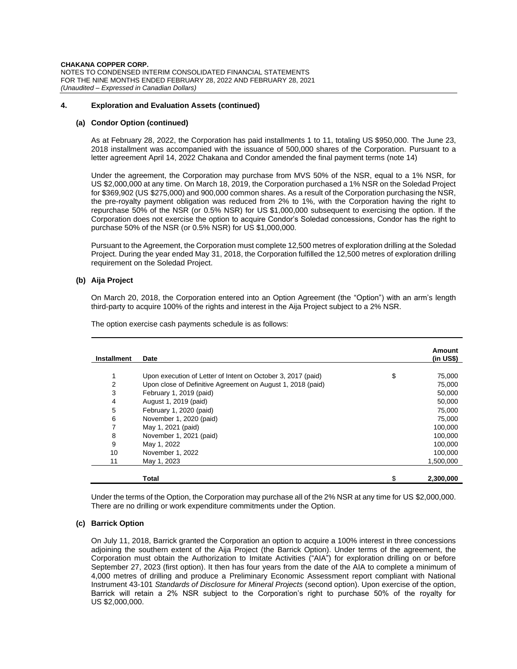**CHAKANA COPPER CORP.** NOTES TO CONDENSED INTERIM CONSOLIDATED FINANCIAL STATEMENTS FOR THE NINE MONTHS ENDED FEBRUARY 28, 2022 AND FEBRUARY 28, 2021 *(Unaudited – Expressed in Canadian Dollars)*

### **4. Exploration and Evaluation Assets (continued)**

### **(a) Condor Option (continued)**

As at February 28, 2022, the Corporation has paid installments 1 to 11, totaling US \$950,000. The June 23, 2018 installment was accompanied with the issuance of 500,000 shares of the Corporation. Pursuant to a letter agreement April 14, 2022 Chakana and Condor amended the final payment terms (note 14)

Under the agreement, the Corporation may purchase from MVS 50% of the NSR, equal to a 1% NSR, for US \$2,000,000 at any time. On March 18, 2019, the Corporation purchased a 1% NSR on the Soledad Project for \$369,902 (US \$275,000) and 900,000 common shares. As a result of the Corporation purchasing the NSR, the pre-royalty payment obligation was reduced from 2% to 1%, with the Corporation having the right to repurchase 50% of the NSR (or 0.5% NSR) for US \$1,000,000 subsequent to exercising the option. If the Corporation does not exercise the option to acquire Condor's Soledad concessions, Condor has the right to purchase 50% of the NSR (or 0.5% NSR) for US \$1,000,000.

Pursuant to the Agreement, the Corporation must complete 12,500 metres of exploration drilling at the Soledad Project. During the year ended May 31, 2018, the Corporation fulfilled the 12,500 metres of exploration drilling requirement on the Soledad Project.

### **(b) Aija Project**

On March 20, 2018, the Corporation entered into an Option Agreement (the "Option") with an arm's length third-party to acquire 100% of the rights and interest in the Aija Project subject to a 2% NSR.

| <b>Installment</b> | Date                                                         | Amount<br>$(in US\)$ |
|--------------------|--------------------------------------------------------------|----------------------|
|                    |                                                              |                      |
|                    | Upon execution of Letter of Intent on October 3, 2017 (paid) | \$<br>75,000         |
| 2                  | Upon close of Definitive Agreement on August 1, 2018 (paid)  | 75,000               |
| 3                  | February 1, 2019 (paid)                                      | 50,000               |
| 4                  | August 1, 2019 (paid)                                        | 50,000               |
| 5                  | February 1, 2020 (paid)                                      | 75,000               |
| 6                  | November 1, 2020 (paid)                                      | 75,000               |
| 7                  | May 1, 2021 (paid)                                           | 100,000              |
| 8                  | November 1, 2021 (paid)                                      | 100,000              |
| 9                  | May 1, 2022                                                  | 100,000              |
| 10                 | November 1, 2022                                             | 100,000              |
| 11                 | May 1, 2023                                                  | 1.500.000            |
|                    | <b>Total</b>                                                 | \$<br>2,300,000      |

The option exercise cash payments schedule is as follows:

Under the terms of the Option, the Corporation may purchase all of the 2% NSR at any time for US \$2,000,000. There are no drilling or work expenditure commitments under the Option.

### **(c) Barrick Option**

On July 11, 2018, Barrick granted the Corporation an option to acquire a 100% interest in three concessions adjoining the southern extent of the Aija Project (the Barrick Option). Under terms of the agreement, the Corporation must obtain the Authorization to Imitate Activities ("AIA") for exploration drilling on or before September 27, 2023 (first option). It then has four years from the date of the AIA to complete a minimum of 4,000 metres of drilling and produce a Preliminary Economic Assessment report compliant with National Instrument 43-101 *Standards of Disclosure for Mineral Projects* (second option). Upon exercise of the option, Barrick will retain a 2% NSR subject to the Corporation's right to purchase 50% of the royalty for US \$2,000,000.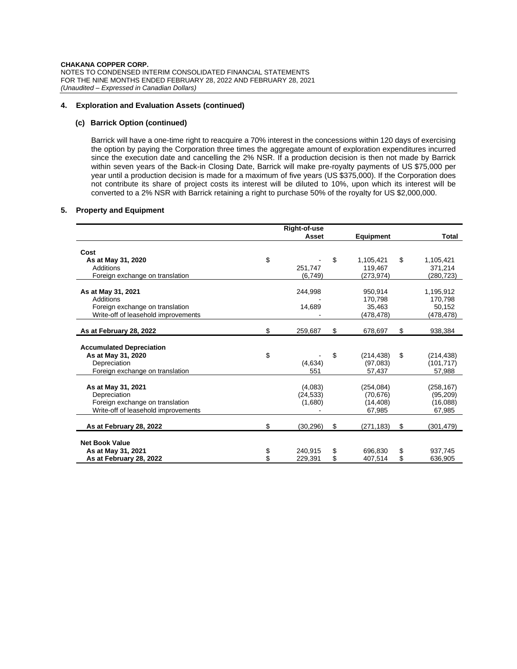### **4. Exploration and Evaluation Assets (continued)**

### **(c) Barrick Option (continued)**

Barrick will have a one-time right to reacquire a 70% interest in the concessions within 120 days of exercising the option by paying the Corporation three times the aggregate amount of exploration expenditures incurred since the execution date and cancelling the 2% NSR. If a production decision is then not made by Barrick within seven years of the Back-in Closing Date, Barrick will make pre-royalty payments of US \$75,000 per year until a production decision is made for a maximum of five years (US \$375,000). If the Corporation does not contribute its share of project costs its interest will be diluted to 10%, upon which its interest will be converted to a 2% NSR with Barrick retaining a right to purchase 50% of the royalty for US \$2,000,000.

# **5. Property and Equipment**

|                                     | Right-of-use    |                  |                  |
|-------------------------------------|-----------------|------------------|------------------|
|                                     | Asset           | Equipment        | Total            |
| Cost                                |                 |                  |                  |
| As at May 31, 2020                  | \$              | \$<br>1,105,421  | \$<br>1,105,421  |
| Additions                           | 251.747         | 119,467          | 371,214          |
| Foreign exchange on translation     | (6, 749)        | (273, 974)       | (280,723)        |
|                                     |                 |                  |                  |
| As at May 31, 2021                  | 244,998         | 950,914          | 1,195,912        |
| Additions                           |                 | 170,798          | 170,798          |
| Foreign exchange on translation     | 14,689          | 35,463           | 50,152           |
| Write-off of leasehold improvements |                 | (478,478)        | (478,478)        |
| As at February 28, 2022             | \$<br>259,687   | \$<br>678,697    | \$<br>938,384    |
|                                     |                 |                  |                  |
| <b>Accumulated Depreciation</b>     |                 |                  |                  |
| As at May 31, 2020                  | \$              | \$<br>(214, 438) | \$<br>(214,438)  |
| Depreciation                        | (4,634)         | (97,083)         | (101, 717)       |
| Foreign exchange on translation     | 551             | 57,437           | 57,988           |
|                                     |                 |                  |                  |
| As at May 31, 2021                  | (4,083)         | (254, 084)       | (258, 167)       |
| Depreciation                        | (24, 533)       | (70, 676)        | (95, 209)        |
| Foreign exchange on translation     | (1,680)         | (14, 408)        | (16,088)         |
| Write-off of leasehold improvements |                 | 67,985           | 67,985           |
| As at February 28, 2022             | \$<br>(30, 296) | \$<br>(271, 183) | \$<br>(301, 479) |
|                                     |                 |                  |                  |
| <b>Net Book Value</b>               |                 |                  |                  |
| As at May 31, 2021                  | \$<br>240,915   | \$<br>696.830    | \$<br>937,745    |
| As at February 28, 2022             | \$<br>229,391   | \$<br>407,514    | \$<br>636,905    |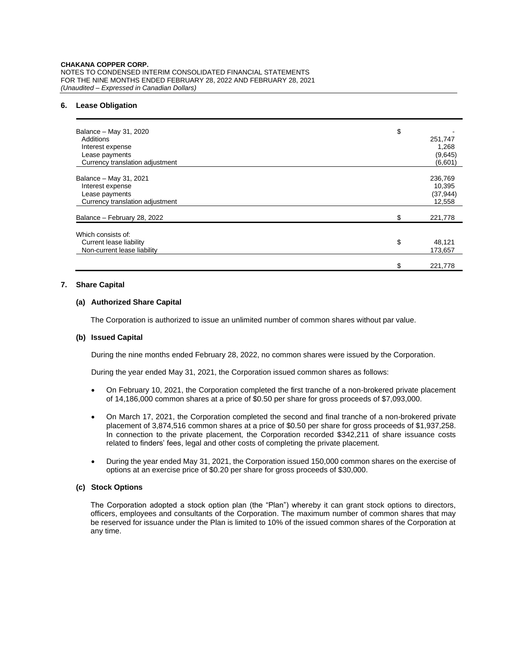### **6. Lease Obligation**

| Balance - May 31, 2020<br>Additions<br>Interest expense<br>Lease payments<br>Currency translation adjustment | \$<br>251,747<br>1,268<br>(9,645)<br>(6,601) |
|--------------------------------------------------------------------------------------------------------------|----------------------------------------------|
| Balance - May 31, 2021<br>Interest expense<br>Lease payments<br>Currency translation adjustment              | 236,769<br>10,395<br>(37, 944)<br>12,558     |
| Balance - February 28, 2022                                                                                  | \$<br>221,778                                |
| Which consists of:<br>Current lease liability<br>Non-current lease liability                                 | \$<br>48,121<br>173,657                      |
|                                                                                                              | \$<br>221,778                                |

### **7. Share Capital**

# **(a) Authorized Share Capital**

The Corporation is authorized to issue an unlimited number of common shares without par value.

### **(b) Issued Capital**

During the nine months ended February 28, 2022, no common shares were issued by the Corporation.

During the year ended May 31, 2021, the Corporation issued common shares as follows:

- On February 10, 2021, the Corporation completed the first tranche of a non-brokered private placement of 14,186,000 common shares at a price of \$0.50 per share for gross proceeds of \$7,093,000.
- On March 17, 2021, the Corporation completed the second and final tranche of a non-brokered private placement of 3,874,516 common shares at a price of \$0.50 per share for gross proceeds of \$1,937,258. In connection to the private placement, the Corporation recorded \$342,211 of share issuance costs related to finders' fees, legal and other costs of completing the private placement.
- During the year ended May 31, 2021, the Corporation issued 150,000 common shares on the exercise of options at an exercise price of \$0.20 per share for gross proceeds of \$30,000.

# **(c) Stock Options**

The Corporation adopted a stock option plan (the "Plan") whereby it can grant stock options to directors, officers, employees and consultants of the Corporation. The maximum number of common shares that may be reserved for issuance under the Plan is limited to 10% of the issued common shares of the Corporation at any time.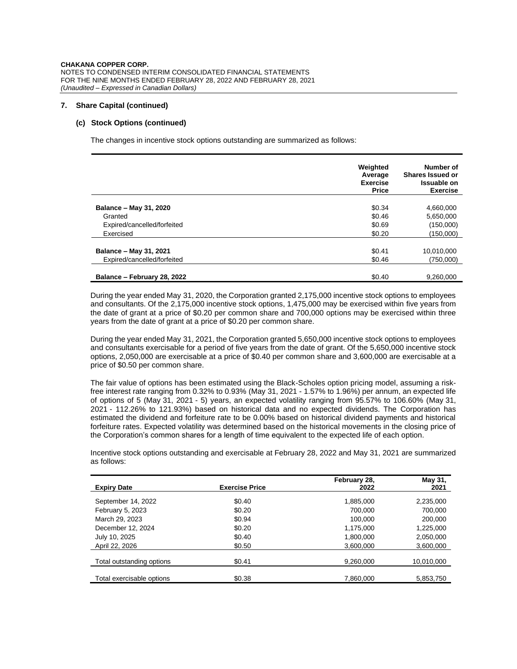### **7. Share Capital (continued)**

### **(c) Stock Options (continued)**

The changes in incentive stock options outstanding are summarized as follows:

|                             | Weighted<br>Average<br><b>Exercise</b><br><b>Price</b> | Number of<br>Shares Issued or<br>Issuable on<br><b>Exercise</b> |
|-----------------------------|--------------------------------------------------------|-----------------------------------------------------------------|
|                             |                                                        |                                                                 |
| Balance - May 31, 2020      | \$0.34                                                 | 4,660,000                                                       |
| Granted                     | \$0.46                                                 | 5,650,000                                                       |
| Expired/cancelled/forfeited | \$0.69                                                 | (150,000)                                                       |
| Exercised                   | \$0.20                                                 | (150,000)                                                       |
|                             |                                                        |                                                                 |
| Balance - May 31, 2021      | \$0.41                                                 | 10,010,000                                                      |
| Expired/cancelled/forfeited | \$0.46                                                 | (750.000)                                                       |
|                             |                                                        |                                                                 |
| Balance - February 28, 2022 | \$0.40                                                 | 9,260,000                                                       |

During the year ended May 31, 2020, the Corporation granted 2,175,000 incentive stock options to employees and consultants. Of the 2,175,000 incentive stock options, 1,475,000 may be exercised within five years from the date of grant at a price of \$0.20 per common share and 700,000 options may be exercised within three years from the date of grant at a price of \$0.20 per common share.

During the year ended May 31, 2021, the Corporation granted 5,650,000 incentive stock options to employees and consultants exercisable for a period of five years from the date of grant. Of the 5,650,000 incentive stock options, 2,050,000 are exercisable at a price of \$0.40 per common share and 3,600,000 are exercisable at a price of \$0.50 per common share.

The fair value of options has been estimated using the Black-Scholes option pricing model, assuming a riskfree interest rate ranging from 0.32% to 0.93% (May 31, 2021 - 1.57% to 1.96%) per annum, an expected life of options of 5 (May 31, 2021 - 5) years, an expected volatility ranging from 95.57% to 106.60% (May 31, 2021 - 112.26% to 121.93%) based on historical data and no expected dividends. The Corporation has estimated the dividend and forfeiture rate to be 0.00% based on historical dividend payments and historical forfeiture rates. Expected volatility was determined based on the historical movements in the closing price of the Corporation's common shares for a length of time equivalent to the expected life of each option.

Incentive stock options outstanding and exercisable at February 28, 2022 and May 31, 2021 are summarized as follows:

| <b>Expiry Date</b>        | <b>Exercise Price</b> | February 28,<br>2022 | May 31,<br>2021 |
|---------------------------|-----------------------|----------------------|-----------------|
| September 14, 2022        | \$0.40                | 1,885,000            | 2,235,000       |
| February 5, 2023          | \$0.20                | 700,000              | 700,000         |
| March 29, 2023            | \$0.94                | 100.000              | 200,000         |
| December 12, 2024         | \$0.20                | 1,175,000            | 1,225,000       |
| July 10, 2025             | \$0.40                | 1,800,000            | 2,050,000       |
| April 22, 2026            | \$0.50                | 3,600,000            | 3,600,000       |
| Total outstanding options | \$0.41                | 9,260,000            | 10,010,000      |
| Total exercisable options | \$0.38                | 7,860,000            | 5,853,750       |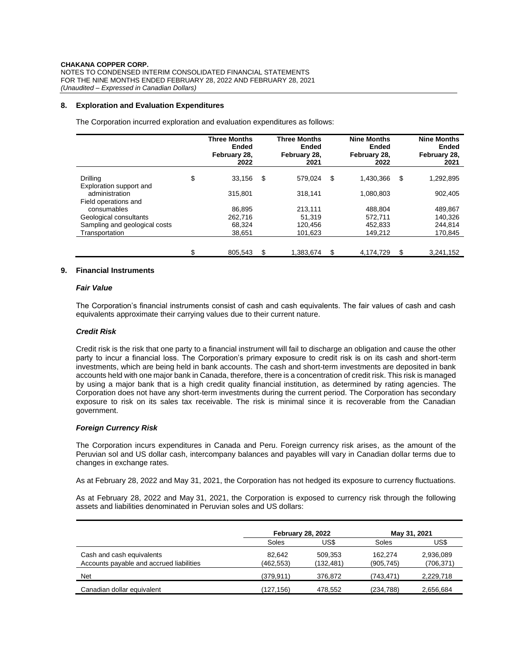### **8. Exploration and Evaluation Expenditures**

The Corporation incurred exploration and evaluation expenditures as follows:

|                                           | <b>Three Months</b><br><b>Ended</b><br>February 28,<br>2022 | <b>Three Months</b><br>Ended<br>February 28,<br>2021 |    | <b>Nine Months</b><br>Ended<br>February 28,<br>2022 |    | <b>Nine Months</b><br>Ended<br>February 28,<br>2021 |
|-------------------------------------------|-------------------------------------------------------------|------------------------------------------------------|----|-----------------------------------------------------|----|-----------------------------------------------------|
| Drilling                                  | \$<br>33,156                                                | \$<br>579.024                                        | \$ | 1,430,366                                           | \$ | 1,292,895                                           |
| Exploration support and<br>administration | 315.801                                                     | 318.141                                              |    | 1.080.803                                           |    | 902,405                                             |
| Field operations and<br>consumables       | 86.895                                                      | 213.111                                              |    | 488.804                                             |    | 489,867                                             |
| Geological consultants                    | 262.716                                                     | 51.319                                               |    | 572.711                                             |    | 140,326                                             |
| Sampling and geological costs             | 68,324                                                      | 120.456                                              |    | 452,833                                             |    | 244,814                                             |
| Transportation                            | 38,651                                                      | 101,623                                              |    | 149,212                                             |    | 170,845                                             |
|                                           |                                                             |                                                      |    |                                                     |    |                                                     |
|                                           | \$<br>805.543                                               | \$<br>1.383.674                                      | S  | 4.174.729                                           | S  | 3.241.152                                           |

# **9. Financial Instruments**

### *Fair Value*

The Corporation's financial instruments consist of cash and cash equivalents. The fair values of cash and cash equivalents approximate their carrying values due to their current nature.

### *Credit Risk*

Credit risk is the risk that one party to a financial instrument will fail to discharge an obligation and cause the other party to incur a financial loss. The Corporation's primary exposure to credit risk is on its cash and short-term investments, which are being held in bank accounts. The cash and short-term investments are deposited in bank accounts held with one major bank in Canada, therefore, there is a concentration of credit risk. This risk is managed by using a major bank that is a high credit quality financial institution, as determined by rating agencies. The Corporation does not have any short-term investments during the current period. The Corporation has secondary exposure to risk on its sales tax receivable. The risk is minimal since it is recoverable from the Canadian government.

### *Foreign Currency Risk*

The Corporation incurs expenditures in Canada and Peru. Foreign currency risk arises, as the amount of the Peruvian sol and US dollar cash, intercompany balances and payables will vary in Canadian dollar terms due to changes in exchange rates.

As at February 28, 2022 and May 31, 2021, the Corporation has not hedged its exposure to currency fluctuations.

As at February 28, 2022 and May 31, 2021, the Corporation is exposed to currency risk through the following assets and liabilities denominated in Peruvian soles and US dollars:

|                                                                       | <b>February 28, 2022</b> |                      | May 31, 2021          |                         |
|-----------------------------------------------------------------------|--------------------------|----------------------|-----------------------|-------------------------|
|                                                                       | Soles                    | US\$                 | Soles                 | US\$                    |
| Cash and cash equivalents<br>Accounts payable and accrued liabilities | 82.642<br>(462, 553)     | 509.353<br>(132,481) | 162.274<br>(905, 745) | 2,936,089<br>(706, 371) |
| <b>Net</b>                                                            | (379.911)                | 376.872              | (743, 471)            | 2,229,718               |
| Canadian dollar equivalent                                            | (127,156)                | 478.552              | (234, 788)            | 2,656,684               |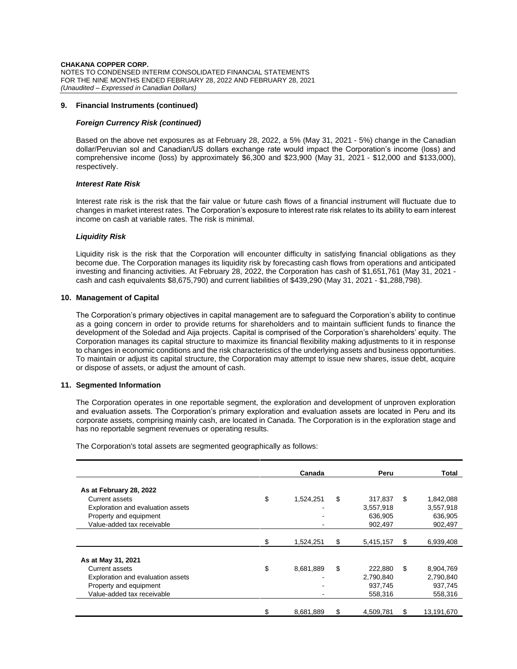### **9. Financial Instruments (continued)**

### *Foreign Currency Risk (continued)*

Based on the above net exposures as at February 28, 2022, a 5% (May 31, 2021 - 5%) change in the Canadian dollar/Peruvian sol and Canadian/US dollars exchange rate would impact the Corporation's income (loss) and comprehensive income (loss) by approximately \$6,300 and \$23,900 (May 31, 2021 - \$12,000 and \$133,000), respectively.

### *Interest Rate Risk*

Interest rate risk is the risk that the fair value or future cash flows of a financial instrument will fluctuate due to changes in market interest rates. The Corporation's exposure to interest rate risk relates to its ability to earn interest income on cash at variable rates. The risk is minimal.

### *Liquidity Risk*

Liquidity risk is the risk that the Corporation will encounter difficulty in satisfying financial obligations as they become due. The Corporation manages its liquidity risk by forecasting cash flows from operations and anticipated investing and financing activities. At February 28, 2022, the Corporation has cash of \$1,651,761 (May 31, 2021 cash and cash equivalents \$8,675,790) and current liabilities of \$439,290 (May 31, 2021 - \$1,288,798).

### **10. Management of Capital**

The Corporation's primary objectives in capital management are to safeguard the Corporation's ability to continue as a going concern in order to provide returns for shareholders and to maintain sufficient funds to finance the development of the Soledad and Aija projects. Capital is comprised of the Corporation's shareholders' equity. The Corporation manages its capital structure to maximize its financial flexibility making adjustments to it in response to changes in economic conditions and the risk characteristics of the underlying assets and business opportunities. To maintain or adjust its capital structure, the Corporation may attempt to issue new shares, issue debt, acquire or dispose of assets, or adjust the amount of cash.

#### **11. Segmented Information**

The Corporation operates in one reportable segment, the exploration and development of unproven exploration and evaluation assets. The Corporation's primary exploration and evaluation assets are located in Peru and its corporate assets, comprising mainly cash, are located in Canada. The Corporation is in the exploration stage and has no reportable segment revenues or operating results.

The Corporation's total assets are segmented geographically as follows:

|                                   | Canada          |    | Peru      |    | Total      |  |
|-----------------------------------|-----------------|----|-----------|----|------------|--|
| As at February 28, 2022           |                 |    |           |    |            |  |
| Current assets                    | \$<br>1,524,251 | \$ | 317.837   | \$ | 1,842,088  |  |
| Exploration and evaluation assets |                 |    | 3,557,918 |    | 3,557,918  |  |
| Property and equipment            |                 |    | 636,905   |    | 636,905    |  |
| Value-added tax receivable        |                 |    | 902,497   |    | 902,497    |  |
|                                   |                 |    |           |    |            |  |
|                                   | \$<br>1,524,251 | \$ | 5,415,157 | \$ | 6,939,408  |  |
| As at May 31, 2021                |                 |    |           |    |            |  |
| Current assets                    | \$<br>8,681,889 | \$ | 222,880   | \$ | 8,904,769  |  |
| Exploration and evaluation assets |                 |    | 2,790,840 |    | 2,790,840  |  |
| Property and equipment            |                 |    | 937.745   |    | 937,745    |  |
| Value-added tax receivable        |                 |    | 558,316   |    | 558,316    |  |
|                                   | \$<br>8,681,889 | \$ | 4,509,781 | S  | 13,191,670 |  |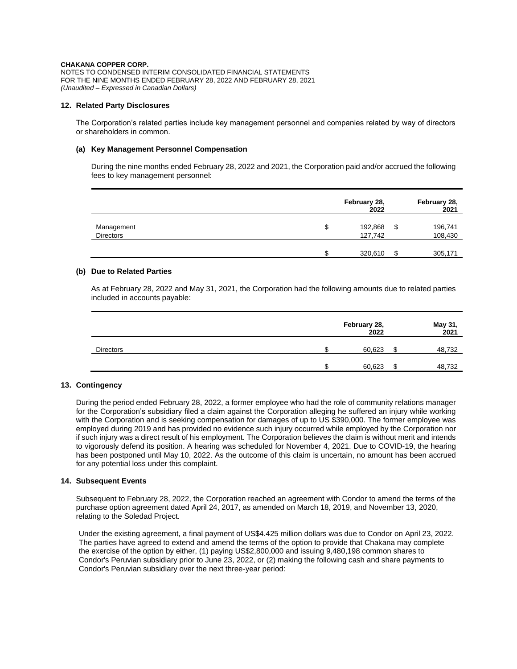### **12. Related Party Disclosures**

The Corporation's related parties include key management personnel and companies related by way of directors or shareholders in common.

### **(a) Key Management Personnel Compensation**

During the nine months ended February 28, 2022 and 2021, the Corporation paid and/or accrued the following fees to key management personnel:

|                                |    | February 28,<br>2022 | February 28,<br>2021     |
|--------------------------------|----|----------------------|--------------------------|
| Management<br><b>Directors</b> | \$ | 192,868<br>127,742   | \$<br>196,741<br>108,430 |
|                                | c  | 320,610              | \$<br>305,171            |

### **(b) Due to Related Parties**

As at February 28, 2022 and May 31, 2021, the Corporation had the following amounts due to related parties included in accounts payable:

|                  | February 28,<br>2022 |    | May 31,<br>2021 |
|------------------|----------------------|----|-----------------|
| <b>Directors</b> | 60,623               | ß. | 48,732          |
|                  | 60,623               | c  | 48,732          |

# **13. Contingency**

During the period ended February 28, 2022, a former employee who had the role of community relations manager for the Corporation's subsidiary filed a claim against the Corporation alleging he suffered an injury while working with the Corporation and is seeking compensation for damages of up to US \$390,000. The former employee was employed during 2019 and has provided no evidence such injury occurred while employed by the Corporation nor if such injury was a direct result of his employment. The Corporation believes the claim is without merit and intends to vigorously defend its position. A hearing was scheduled for November 4, 2021. Due to COVID-19, the hearing has been postponed until May 10, 2022. As the outcome of this claim is uncertain, no amount has been accrued for any potential loss under this complaint.

### **14. Subsequent Events**

Subsequent to February 28, 2022, the Corporation reached an agreement with Condor to amend the terms of the purchase option agreement dated April 24, 2017, as amended on March 18, 2019, and November 13, 2020, relating to the Soledad Project.

Under the existing agreement, a final payment of US\$4.425 million dollars was due to Condor on April 23, 2022. The parties have agreed to extend and amend the terms of the option to provide that Chakana may complete the exercise of the option by either, (1) paying US\$2,800,000 and issuing 9,480,198 common shares to Condor's Peruvian subsidiary prior to June 23, 2022, or (2) making the following cash and share payments to Condor's Peruvian subsidiary over the next three-year period: